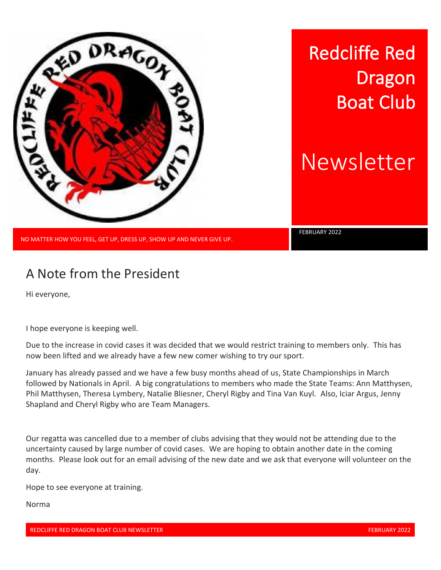

Redcliffe Red Dragon Boat Club

Newsletter

FEBRUARY 2022

NO MATTER HOW YOU FEEL, GET UP, DRESS UP, SHOW UP AND NEVER GIVE UP.

## A Note from the President

Hi everyone,

I hope everyone is keeping well.

Due to the increase in covid cases it was decided that we would restrict training to members only. This has now been lifted and we already have a few new comer wishing to try our sport.

January has already passed and we have a few busy months ahead of us, State Championships in March followed by Nationals in April. A big congratulations to members who made the State Teams: Ann Matthysen, Phil Matthysen, Theresa Lymbery, Natalie Bliesner, Cheryl Rigby and Tina Van Kuyl. Also, Iciar Argus, Jenny Shapland and Cheryl Rigby who are Team Managers.

Our regatta was cancelled due to a member of clubs advising that they would not be attending due to the uncertainty caused by large number of covid cases. We are hoping to obtain another date in the coming months. Please look out for an email advising of the new date and we ask that everyone will volunteer on the day.

Hope to see everyone at training.

Norma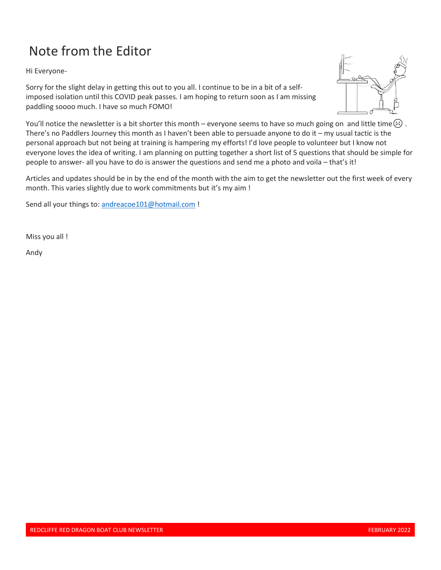# Note from the Editor

Hi Everyone-

Sorry for the slight delay in getting this out to you all. I continue to be in a bit of a selfimposed isolation until this COVID peak passes. I am hoping to return soon as I am missing paddling soooo much. I have so much FOMO!



You'll notice the newsletter is a bit shorter this month – everyone seems to have so much going on and little time $\langle \cdot \rangle$ . There's no Paddlers Journey this month as I haven't been able to persuade anyone to do it – my usual tactic is the personal approach but not being at training is hampering my efforts! I'd love people to volunteer but I know not everyone loves the idea of writing. I am planning on putting together a short list of 5 questions that should be simple for people to answer- all you have to do is answer the questions and send me a photo and voila – that's it!

Articles and updates should be in by the end of the month with the aim to get the newsletter out the first week of every month. This varies slightly due to work commitments but it's my aim !

Send all your things to: [andreacoe101@hotmail.com](mailto:andreacoe101@hotmail.com) !

Miss you all !

Andy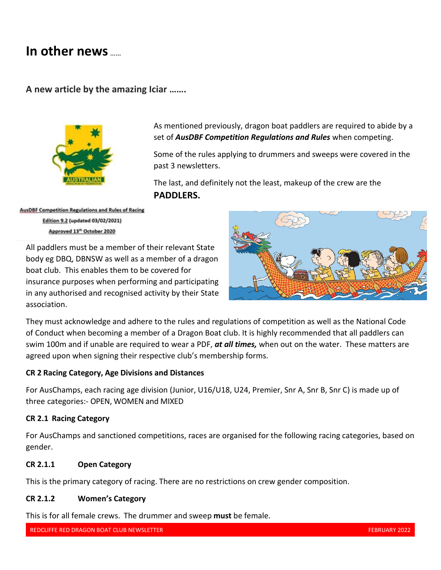### **In other news** ……

#### **A new article by the amazing Iciar …….**



As mentioned previously, dragon boat paddlers are required to abide by a set of *AusDBF Competition Regulations and Rules* when competing.

Some of the rules applying to drummers and sweeps were covered in the past 3 newsletters.

The last, and definitely not the least, makeup of the crew are the **PADDLERS.**

**AusDBF Competition Regulations and Rules of Racing** Edition 9.2 (updated 03/02/2021) Approved 13<sup>th</sup> October 2020

All paddlers must be a member of their relevant State body eg DBQ, DBNSW as well as a member of a dragon boat club. This enables them to be covered for insurance purposes when performing and participating in any authorised and recognised activity by their State association.



They must acknowledge and adhere to the rules and regulations of competition as well as the National Code of Conduct when becoming a member of a Dragon Boat club. It is highly recommended that all paddlers can swim 100m and if unable are required to wear a PDF, *at all times,* when out on the water. These matters are agreed upon when signing their respective club's membership forms.

#### **CR 2 Racing Category, Age Divisions and Distances**

For AusChamps, each racing age division (Junior, U16/U18, U24, Premier, Snr A, Snr B, Snr C) is made up of three categories:- OPEN, WOMEN and MIXED

#### **CR 2.1 Racing Category**

For AusChamps and sanctioned competitions, races are organised for the following racing categories, based on gender.

#### **CR 2.1.1 Open Category**

This is the primary category of racing. There are no restrictions on crew gender composition.

#### **CR 2.1.2 Women's Category**

This is for all female crews. The drummer and sweep **must** be female.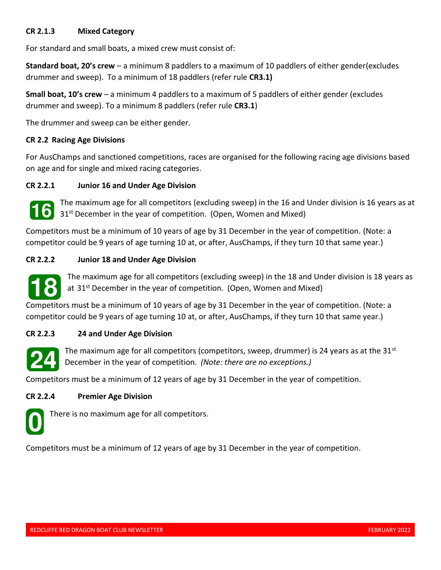#### **CR 2.1.3 Mixed Category**

For standard and small boats, a mixed crew must consist of:

**Standard boat, 20's crew** – a minimum 8 paddlers to a maximum of 10 paddlers of either gender(excludes drummer and sweep). To a minimum of 18 paddlers (refer rule **CR3.1)**

**Small boat, 10's crew** – a minimum 4 paddlers to a maximum of 5 paddlers of either gender (excludes drummer and sweep). To a minimum 8 paddlers (refer rule **CR3.1**)

The drummer and sweep can be either gender.

#### **CR 2.2 Racing Age Divisions**

For AusChamps and sanctioned competitions, races are organised for the following racing age divisions based on age and for single and mixed racing categories.

#### **CR 2.2.1 Junior 16 and Under Age Division**



The maximum age for all competitors (excluding sweep) in the 16 and Under division is 16 years as at 31<sup>st</sup> December in the year of competition. (Open, Women and Mixed)

Competitors must be a minimum of 10 years of age by 31 December in the year of competition. (Note: a competitor could be 9 years of age turning 10 at, or after, AusChamps, if they turn 10 that same year.)

#### **CR 2.2.2 Junior 18 and Under Age Division**



The maximum age for all competitors (excluding sweep) in the 18 and Under division is 18 years as at  $31<sup>st</sup>$  December in the year of competition. (Open, Women and Mixed)

Competitors must be a minimum of 10 years of age by 31 December in the year of competition. (Note: a competitor could be 9 years of age turning 10 at, or after, AusChamps, if they turn 10 that same year.)

#### **CR 2.2.3 24 and Under Age Division**



The maximum age for all competitors (competitors, sweep, drummer) is 24 years as at the 31st December in the year of competition. *(Note: there are no exceptions.)*

Competitors must be a minimum of 12 years of age by 31 December in the year of competition.

#### **CR 2.2.4 Premier Age Division**



There is no maximum age for all competitors.

Competitors must be a minimum of 12 years of age by 31 December in the year of competition.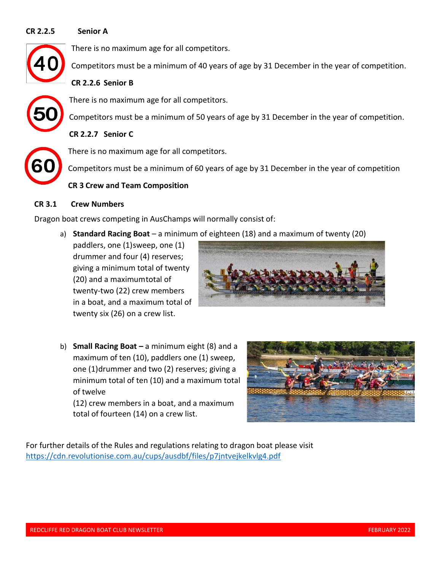#### **CR 2.2.5 Senior A**

There is no maximum age for all competitors.

Competitors must be a minimum of 40 years of age by 31 December in the year of competition.

**CR 2.2.6 Senior B**



#### There is no maximum age for all competitors.

Competitors must be a minimum of 50 years of age by 31 December in the year of competition.

**CR 2.2.7 Senior C**



There is no maximum age for all competitors.

Competitors must be a minimum of 60 years of age by 31 December in the year of competition

#### **CR 3 Crew and Team Composition**

#### **CR 3.1 Crew Numbers**

Dragon boat crews competing in AusChamps will normally consist of:

a) **Standard Racing Boat** – a minimum of eighteen (18) and a maximum of twenty (20)

paddlers, one (1)sweep, one (1) drummer and four (4) reserves; giving a minimum total of twenty (20) and a maximumtotal of twenty-two (22) crew members in a boat, and a maximum total of twenty six (26) on a crew list.



b) **Small Racing Boat –** a minimum eight (8) and a maximum of ten (10), paddlers one (1) sweep, one (1)drummer and two (2) reserves; giving a minimum total of ten (10) and a maximum total of twelve

(12) crew members in a boat, and a maximum total of fourteen (14) on a crew list.



For further details of the Rules and regulations relating to dragon boat please visit <https://cdn.revolutionise.com.au/cups/ausdbf/files/p7jntvejkelkvlg4.pdf>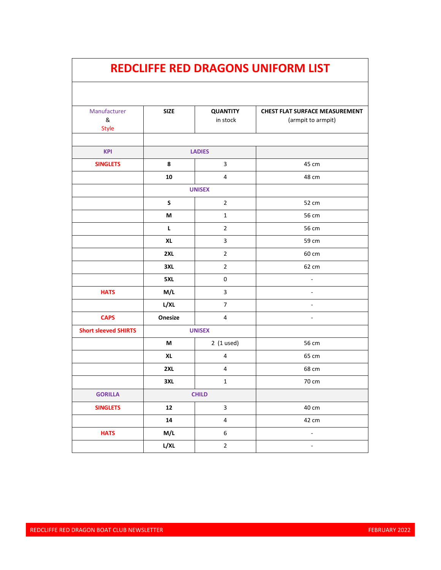|                             |               |                             | <b>REDCLIFFE RED DRAGONS UNIFORM LIST</b>                   |
|-----------------------------|---------------|-----------------------------|-------------------------------------------------------------|
|                             |               |                             |                                                             |
| Manufacturer<br>&<br>Style  | <b>SIZE</b>   | <b>QUANTITY</b><br>in stock | <b>CHEST FLAT SURFACE MEASUREMENT</b><br>(armpit to armpit) |
| <b>KPI</b>                  | <b>LADIES</b> |                             |                                                             |
| <b>SINGLETS</b>             | 8             | $\mathsf 3$                 | 45 cm                                                       |
|                             | 10            | 4                           | 48 cm                                                       |
|                             | <b>UNISEX</b> |                             |                                                             |
|                             | S             | $\overline{2}$              | 52 cm                                                       |
|                             | М             | $\mathbf{1}$                | 56 cm                                                       |
|                             | L             | $\overline{2}$              | 56 cm                                                       |
|                             | <b>XL</b>     | 3                           | 59 cm                                                       |
|                             | 2XL           | $\overline{2}$              | 60 cm                                                       |
|                             | 3XL           | $\overline{2}$              | 62 cm                                                       |
|                             | 5XL           | $\mathbf 0$                 | ä,                                                          |
| <b>HATS</b>                 | M/L           | 3                           |                                                             |
|                             | L/XL          | $\overline{7}$              |                                                             |
| <b>CAPS</b>                 | Onesize       | 4                           |                                                             |
| <b>Short sleeved SHIRTS</b> | <b>UNISEX</b> |                             |                                                             |
|                             | М             | $2(1$ used)                 | 56 cm                                                       |
|                             | XL            | 4                           | 65 cm                                                       |
|                             | 2XL           | 4                           | 68 cm                                                       |
|                             | 3XL           | $\mathbf 1$                 | 70 cm                                                       |
| <b>GORILLA</b>              | <b>CHILD</b>  |                             |                                                             |
| <b>SINGLETS</b>             | $12$          | $\mathbf{3}$                | 40 cm                                                       |
|                             | ${\bf 14}$    | $\overline{4}$              | 42 cm                                                       |
| <b>HATS</b>                 | M/L           | 6                           | $\omega$                                                    |
|                             | L/XL          | $\overline{2}$              | $\overline{\phantom{a}}$                                    |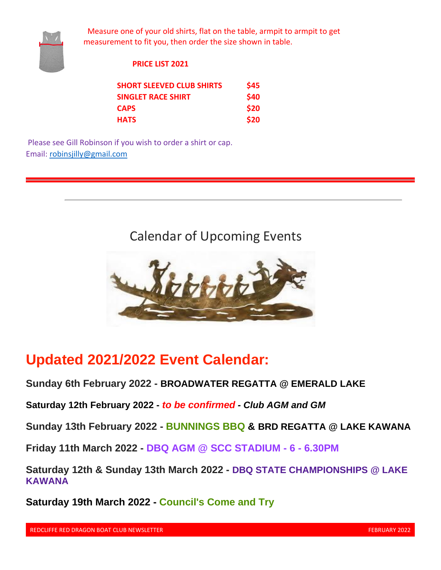

 Measure one of your old shirts, flat on the table, armpit to armpit to get measurement to fit you, then order the size shown in table.

#### **PRICE LIST 2021**

| <b>SHORT SLEEVED CLUB SHIRTS</b> | \$45 |
|----------------------------------|------|
| <b>SINGLET RACE SHIRT</b>        | \$40 |
| <b>CAPS</b>                      | \$20 |
| <b>HATS</b>                      | \$20 |

Please see Gill Robinson if you wish to order a shirt or cap. Email: robinsjilly@gmail.com

Calendar of Upcoming Events



## **Updated 2021/2022 Event Calendar:**

**Sunday 6th February 2022 - BROADWATER REGATTA @ EMERALD LAKE**

**Saturday 12th February 2022 -** *to be confirmed - Club AGM and GM*

**Sunday 13th February 2022 - BUNNINGS BBQ & BRD REGATTA @ LAKE KAWANA**

**Friday 11th March 2022 - DBQ AGM @ SCC STADIUM - 6 - 6.30PM**

**Saturday 12th & Sunday 13th March 2022 - DBQ STATE CHAMPIONSHIPS @ LAKE KAWANA**

**Saturday 19th March 2022 - Council's Come and Try**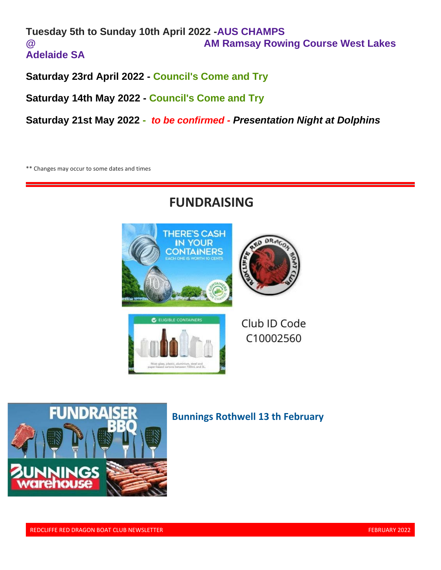#### **Tuesday 5th to Sunday 10th April 2022 -AUS CHAMPS @ AM Ramsay Rowing Course West Lakes Adelaide SA**

**Saturday 23rd April 2022 - Council's Come and Try**

**Saturday 14th May 2022 - Council's Come and Try**

**Saturday 21st May 2022 -** *to be confirmed - Presentation Night at Dolphins*

\*\* Changes may occur to some dates and times

## **FUNDRAISING**



Club ID Code C10002560



### **Bunnings Rothwell 13 th February**

REDCLIFFE RED DRAGON BOAT CLUB NEWSLETTER FEBRUARY 2022 FEBRUARY 2022